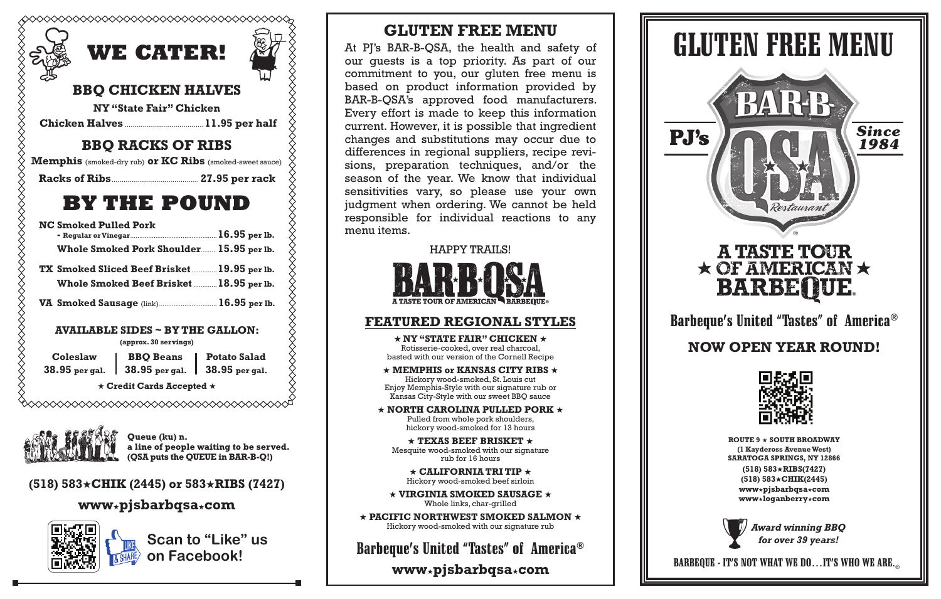| ◇◇◇◇◇◇◇◇◇◇◇◇◇◇◇◇◇◇◇◇◇◇◇◇◇◇◇◇◇◇◇◇◇◇                                |                                       |                                 |  |
|-------------------------------------------------------------------|---------------------------------------|---------------------------------|--|
|                                                                   | WE CATER!                             |                                 |  |
|                                                                   | <b>BBO CHICKEN HALVES</b>             |                                 |  |
|                                                                   | NY "State Fair" Chicken               |                                 |  |
|                                                                   |                                       |                                 |  |
|                                                                   | <b>BBO RACKS OF RIBS</b>              |                                 |  |
| <b>Memphis</b> (smoked-dry rub) or $KC$ Ribs (smoked-sweet sauce) |                                       |                                 |  |
|                                                                   |                                       |                                 |  |
|                                                                   | BY THE POUND                          |                                 |  |
| <b>NC Smoked Pulled Pork</b>                                      |                                       |                                 |  |
| Whole Smoked Pork Shoulder 15.95 per lb.                          |                                       |                                 |  |
| TX Smoked Sliced Beef Brisket 19.95 per lb.                       |                                       |                                 |  |
| Whole Smoked Beef Brisket  18.95 per lb.                          |                                       |                                 |  |
| VA Smoked Sausage $\langle$ link $\rangle$ 16.95 per lb.          |                                       |                                 |  |
| <b>AVAILABLE SIDES ~ BY THE GALLON:</b>                           | (approx. 30 servings)                 |                                 |  |
| Coleslaw                                                          |                                       | <b>BBO Beans</b>   Potato Salad |  |
| $38.95$ per gal.                                                  | 38.95 per gal.   38.95 per gal.       |                                 |  |
|                                                                   | $\star$ Credit Cards Accepted $\star$ |                                 |  |
|                                                                   | ◇◇◇◇◇◇◇◇◇◇◇◇◇◇◇◇◇◇◇◇◇◇◇◇◇◇◇◇◇◇◇◇      |                                 |  |



**Queue (ku) n. a line of people waiting to be served. (QSA puts the QUEUE in BAR-B-Q!)**

**(518) 583★CHIK (2445) or 583★RIBS (7427)** 

### **www**H**pjsbarbqsa**H**com**



**Scan to "Like" us on Facebook!**

At PJ's BAR-B-QSA, the health and safety of our guests is a top priority. As part of our commitment to you, our gluten free menu is based on product information provided by BAR-B-QSA's approved food manufacturers. Every effort is made to keep this information current. However, it is possible that ingredient changes and substitutions may occur due to differences in regional suppliers, recipe revisions, preparation techniques, and/or the season of the year. We know that individual sensitivities vary, so please use your own judgment when ordering. We cannot be held responsible for individual reactions to any menu items.

#### HAPPY TRAILS!



#### **FEATURED REGIONAL STYLES**

 $\star$  NY "STATE FAIR" CHICKEN  $\star$ Rotisserie-cooked, over real charcoal, basted with our version of the Cornell Recipe

 $\star$  MEMPHIS or KANSAS CITY RIBS  $\star$ Hickory wood-smoked, St. Louis cut Enjoy Memphis-Style with our signature rub or Kansas City-Style with our sweet BBQ sauce

 $\star$  NORTH CAROLINA PULLED PORK  $\star$ Pulled from whole pork shoulders, hickory wood-smoked for 13 hours

 $\star$  TEXAS BEEF BRISKET  $\star$ Mesquite wood-smoked with our signature rub for 16 hours

 $\star$  CALIFORNIA TRI TIP  $\star$ Hickory wood-smoked beef sirloin

 $\star$  VIRGINIA SMOKED SAUSAGE  $\star$ Whole links, char-grilled

 $\star$  PACIFIC NORTHWEST SMOKED SALMON  $\star$ Hickory wood-smoked with our signature rub

**www**H**pjsbarbqsa**H**com** Barbeque's United "Tastes" of America®



*Award winning BBQ for over 39 years!*

BARBEQUE - IT'S NOT WHAT WE DO... IT'S WHO WE ARE.